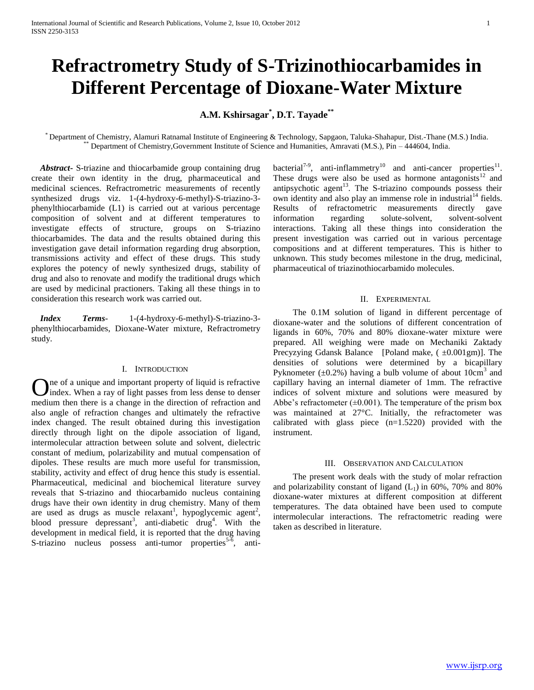# **Refractrometry Study of S-Trizinothiocarbamides in Different Percentage of Dioxane-Water Mixture**

# **A.M. Kshirsagar\* , D.T. Tayade\*\***

\* Department of Chemistry, Alamuri Ratnamal Institute of Engineering & Technology, Sapgaon, Taluka-Shahapur, Dist.-Thane (M.S.) India. Department of Chemistry,Government Institute of Science and Humanities, Amravati (M.S.), Pin – 444604, India.

 *Abstract***-** S-triazine and thiocarbamide group containing drug create their own identity in the drug, pharmaceutical and medicinal sciences. Refractrometric measurements of recently synthesized drugs viz. 1-(4-hydroxy-6-methyl)-S-triazino-3 phenylthiocarbamide (L1) is carried out at various percentage composition of solvent and at different temperatures to investigate effects of structure, groups on S-triazino thiocarbamides. The data and the results obtained during this investigation gave detail information regarding drug absorption, transmissions activity and effect of these drugs. This study explores the potency of newly synthesized drugs, stability of drug and also to renovate and modify the traditional drugs which are used by medicinal practioners. Taking all these things in to consideration this research work was carried out.

 *Index Terms*- 1-(4-hydroxy-6-methyl)-S-triazino-3 phenylthiocarbamides, Dioxane-Water mixture, Refractrometry study.

## I. INTRODUCTION

ne of a unique and important property of liquid is refractive index. When a ray of light passes from less dense to denser **O** ne of a unique and important property of liquid is refractive index. When a ray of light passes from less dense to denser medium then there is a change in the direction of refraction and also angle of refraction changes and ultimately the refractive index changed. The result obtained during this investigation directly through light on the dipole association of ligand, intermolecular attraction between solute and solvent, dielectric constant of medium, polarizability and mutual compensation of dipoles. These results are much more useful for transmission, stability, activity and effect of drug hence this study is essential. Pharmaceutical, medicinal and biochemical literature survey reveals that S-triazino and thiocarbamido nucleus containing drugs have their own identity in drug chemistry. Many of them are used as drugs as muscle relaxant<sup>1</sup>, hypoglycemic agent<sup>2</sup>, blood pressure depressant<sup>3</sup>, anti-diabetic drug<sup>4</sup>. With the development in medical field, it is reported that the drug having S-triazino nucleus possess anti-tumor properties<sup>5-6</sup>, anti-

bacterial<sup>7-9</sup>, anti-inflammetry<sup>10</sup> and anti-cancer properties<sup>11</sup>. These drugs were also be used as hormone antagonists $12$  and antipsychotic agent<sup>13</sup>. The S-triazino compounds possess their own identity and also play an immense role in industrial<sup>14</sup> fields. Results of refractometric measurements directly gave information regarding solute-solvent, solvent-solvent interactions. Taking all these things into consideration the present investigation was carried out in various percentage compositions and at different temperatures. This is hither to unknown. This study becomes milestone in the drug, medicinal, pharmaceutical of triazinothiocarbamido molecules.

### II. EXPERIMENTAL

 The 0.1M solution of ligand in different percentage of dioxane-water and the solutions of different concentration of ligands in 60%, 70% and 80% dioxane-water mixture were prepared. All weighing were made on Mechaniki Zaktady Precyzying Gdansk Balance [Poland make,  $(\pm 0.001 \text{gm})$ ]. The densities of solutions were determined by a bicapillary Pyknometer  $(\pm 0.2\%)$  having a bulb volume of about 10cm<sup>3</sup> and capillary having an internal diameter of 1mm. The refractive indices of solvent mixture and solutions were measured by Abbe's refractometer  $(\pm 0.001)$ . The temperature of the prism box was maintained at 27°C. Initially, the refractometer was calibrated with glass piece  $(n=1.5220)$  provided with the instrument.

#### III. OBSERVATION AND CALCULATION

 The present work deals with the study of molar refraction and polarizability constant of ligand  $(L_1)$  in 60%, 70% and 80% dioxane-water mixtures at different composition at different temperatures. The data obtained have been used to compute intermolecular interactions. The refractometric reading were taken as described in literature.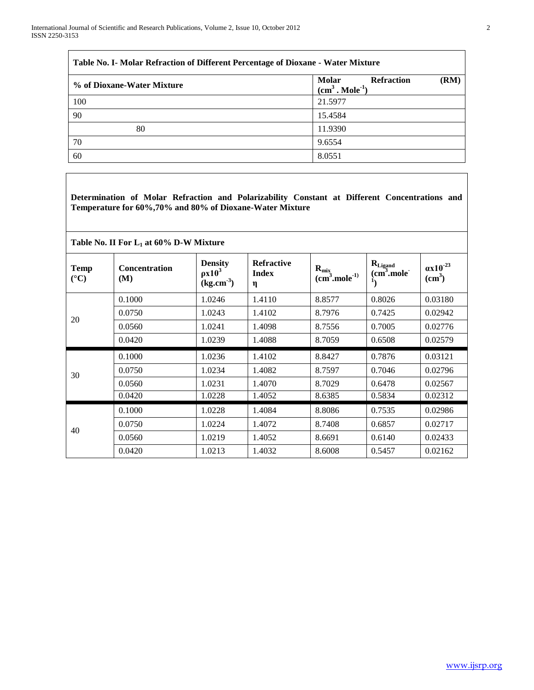$\overline{\Gamma}$ 

| Molar<br><b>Refraction</b><br>(RM)<br>% of Dioxane-Water Mixture<br>$(cm3$ . Mole <sup>-1</sup> )<br>100<br>21.5977<br>90<br>15.4584<br>11.9390<br>80<br>70<br>9.6554<br>8.0551<br>60 | Table No. I- Molar Refraction of Different Percentage of Dioxane - Water Mixture |  |  |  |  |  |
|---------------------------------------------------------------------------------------------------------------------------------------------------------------------------------------|----------------------------------------------------------------------------------|--|--|--|--|--|
|                                                                                                                                                                                       |                                                                                  |  |  |  |  |  |
|                                                                                                                                                                                       |                                                                                  |  |  |  |  |  |
|                                                                                                                                                                                       |                                                                                  |  |  |  |  |  |
|                                                                                                                                                                                       |                                                                                  |  |  |  |  |  |
|                                                                                                                                                                                       |                                                                                  |  |  |  |  |  |
|                                                                                                                                                                                       |                                                                                  |  |  |  |  |  |

**Determination of Molar Refraction and Polarizability Constant at Different Concentrations and Temperature for 60%,70% and 80% of Dioxane-Water Mixture**

# **Table No. II For L<sup>1</sup> at 60% D-W Mixture**

| <b>Temp</b><br>$({}^{\circ}C)$ | <b>Concentration</b><br>(M) | <b>Density</b><br>$\rho x 10^3$<br>(kg.cm <sup>3</sup> ) | <b>Refractive</b><br><b>Index</b><br>η | $R_{\rm mix}$<br>$(cm3$ .mole <sup>-1)</sup> | $R_{\text{Ligand}}$<br>$(cm3$ .mole <sup>-</sup> | $\alpha x 10^{-23}$<br>(cm <sup>3</sup> ) |
|--------------------------------|-----------------------------|----------------------------------------------------------|----------------------------------------|----------------------------------------------|--------------------------------------------------|-------------------------------------------|
| 20                             | 0.1000                      | 1.0246                                                   | 1.4110                                 | 8.8577                                       | 0.8026                                           | 0.03180                                   |
|                                | 0.0750                      | 1.0243                                                   | 1.4102                                 | 8.7976                                       | 0.7425                                           | 0.02942                                   |
|                                | 0.0560                      | 1.0241                                                   | 1.4098                                 | 8.7556                                       | 0.7005                                           | 0.02776                                   |
|                                | 0.0420                      | 1.0239                                                   | 1.4088                                 | 8.7059                                       | 0.6508                                           | 0.02579                                   |
| 30                             | 0.1000                      | 1.0236                                                   | 1.4102                                 | 8.8427                                       | 0.7876                                           | 0.03121                                   |
|                                | 0.0750                      | 1.0234                                                   | 1.4082                                 | 8.7597                                       | 0.7046                                           | 0.02796                                   |
|                                | 0.0560                      | 1.0231                                                   | 1.4070                                 | 8.7029                                       | 0.6478                                           | 0.02567                                   |
|                                | 0.0420                      | 1.0228                                                   | 1.4052                                 | 8.6385                                       | 0.5834                                           | 0.02312                                   |
| 40                             | 0.1000                      | 1.0228                                                   | 1.4084                                 | 8.8086                                       | 0.7535                                           | 0.02986                                   |
|                                | 0.0750                      | 1.0224                                                   | 1.4072                                 | 8.7408                                       | 0.6857                                           | 0.02717                                   |
|                                | 0.0560                      | 1.0219                                                   | 1.4052                                 | 8.6691                                       | 0.6140                                           | 0.02433                                   |
|                                | 0.0420                      | 1.0213                                                   | 1.4032                                 | 8.6008                                       | 0.5457                                           | 0.02162                                   |

 $\overline{\phantom{a}}$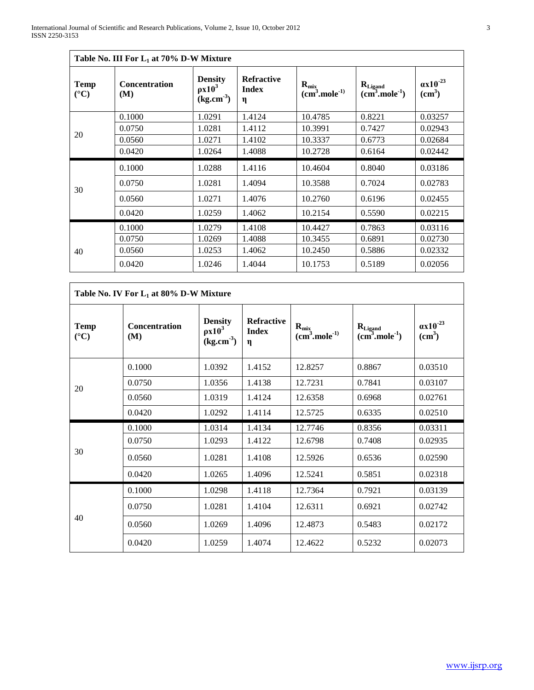Г

| Table No. III For $L_1$ at 70% D-W Mixture |                             |                                                          |                                        |                                   |                                                     |                                      |
|--------------------------------------------|-----------------------------|----------------------------------------------------------|----------------------------------------|-----------------------------------|-----------------------------------------------------|--------------------------------------|
| Temp<br>$({}^{\circ}C)$                    | <b>Concentration</b><br>(M) | <b>Density</b><br>$\rho x 10^3$<br>(kg.cm <sup>3</sup> ) | <b>Refractive</b><br><b>Index</b><br>η | $R_{\rm mix}$<br>$(cm3 . mole-1)$ | $R_{\text{Ligand}}$<br>$(cm3$ .mole <sup>-1</sup> ) | $\alpha x 10^{-23}$<br>$\text{cm}^3$ |
| 20                                         | 0.1000                      | 1.0291                                                   | 1.4124                                 | 10.4785                           | 0.8221                                              | 0.03257                              |
|                                            | 0.0750                      | 1.0281                                                   | 1.4112                                 | 10.3991                           | 0.7427                                              | 0.02943                              |
|                                            | 0.0560                      | 1.0271                                                   | 1.4102                                 | 10.3337                           | 0.6773                                              | 0.02684                              |
|                                            | 0.0420                      | 1.0264                                                   | 1.4088                                 | 10.2728                           | 0.6164                                              | 0.02442                              |
| 30                                         | 0.1000                      | 1.0288                                                   | 1.4116                                 | 10.4604                           | 0.8040                                              | 0.03186                              |
|                                            | 0.0750                      | 1.0281                                                   | 1.4094                                 | 10.3588                           | 0.7024                                              | 0.02783                              |
|                                            | 0.0560                      | 1.0271                                                   | 1.4076                                 | 10.2760                           | 0.6196                                              | 0.02455                              |
|                                            | 0.0420                      | 1.0259                                                   | 1.4062                                 | 10.2154                           | 0.5590                                              | 0.02215                              |
| 40                                         | 0.1000                      | 1.0279                                                   | 1.4108                                 | 10.4427                           | 0.7863                                              | 0.03116                              |
|                                            | 0.0750                      | 1.0269                                                   | 1.4088                                 | 10.3455                           | 0.6891                                              | 0.02730                              |
|                                            | 0.0560                      | 1.0253                                                   | 1.4062                                 | 10.2450                           | 0.5886                                              | 0.02332                              |
|                                            | 0.0420                      | 1.0246                                                   | 1.4044                                 | 10.1753                           | 0.5189                                              | 0.02056                              |

| Table No. IV For $L_1$ at 80% D-W Mixture |                      |                                                          |                                        |                               |                                         |                                           |  |
|-------------------------------------------|----------------------|----------------------------------------------------------|----------------------------------------|-------------------------------|-----------------------------------------|-------------------------------------------|--|
| <b>Temp</b><br>$({}^{\circ}C)$            | Concentration<br>(M) | <b>Density</b><br>$\rho x 10^3$<br>(kg.cm <sup>3</sup> ) | <b>Refractive</b><br><b>Index</b><br>η | $R_{mix}$<br>$(cm3 . mole-1)$ | $R_{\text{Ligand}}$<br>$(cm3 . mole-1)$ | $\alpha x 10^{-23}$<br>(cm <sup>3</sup> ) |  |
| 20                                        | 0.1000               | 1.0392                                                   | 1.4152                                 | 12.8257                       | 0.8867                                  | 0.03510                                   |  |
|                                           | 0.0750               | 1.0356                                                   | 1.4138                                 | 12.7231                       | 0.7841                                  | 0.03107                                   |  |
|                                           | 0.0560               | 1.0319                                                   | 1.4124                                 | 12.6358                       | 0.6968                                  | 0.02761                                   |  |
|                                           | 0.0420               | 1.0292                                                   | 1.4114                                 | 12.5725                       | 0.6335                                  | 0.02510                                   |  |
| 30                                        | 0.1000               | 1.0314                                                   | 1.4134                                 | 12.7746                       | 0.8356                                  | 0.03311                                   |  |
|                                           | 0.0750               | 1.0293                                                   | 1.4122                                 | 12.6798                       | 0.7408                                  | 0.02935                                   |  |
|                                           | 0.0560               | 1.0281                                                   | 1.4108                                 | 12.5926                       | 0.6536                                  | 0.02590                                   |  |
|                                           | 0.0420               | 1.0265                                                   | 1.4096                                 | 12.5241                       | 0.5851                                  | 0.02318                                   |  |
| 40                                        | 0.1000               | 1.0298                                                   | 1.4118                                 | 12.7364                       | 0.7921                                  | 0.03139                                   |  |
|                                           | 0.0750               | 1.0281                                                   | 1.4104                                 | 12.6311                       | 0.6921                                  | 0.02742                                   |  |
|                                           | 0.0560               | 1.0269                                                   | 1.4096                                 | 12.4873                       | 0.5483                                  | 0.02172                                   |  |
|                                           | 0.0420               | 1.0259                                                   | 1.4074                                 | 12.4622                       | 0.5232                                  | 0.02073                                   |  |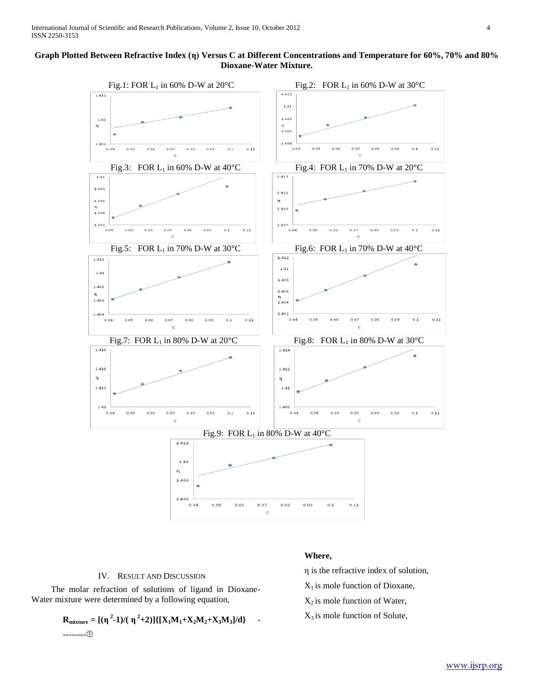# **Graph Plotted Between Refractive Index (η) Versus C at Different Concentrations and Temperature for 60%, 70% and 80% Dioxane-Water Mixture.**



# IV. RESULT AND DISCUSSION

 The molar refraction of solutions of ligand in Dioxane-Water mixture were determined by a following equation,

$$
\mathbf{R}_{\text{mixture}} = [(\eta^2 - 1)/(\eta^2 + 2)][\{\mathbf{X}_1\mathbf{M}_1 + \mathbf{X}_2\mathbf{M}_2 + \mathbf{X}_3\mathbf{M}_3]/d\} \quad - \quad \text{2.22}
$$

# **Where,**

η is the refractive index of solution,

 $X_1$  is mole function of Dioxane,

 $X_2$  is mole function of Water,

 $X_3$  is mole function of Solute,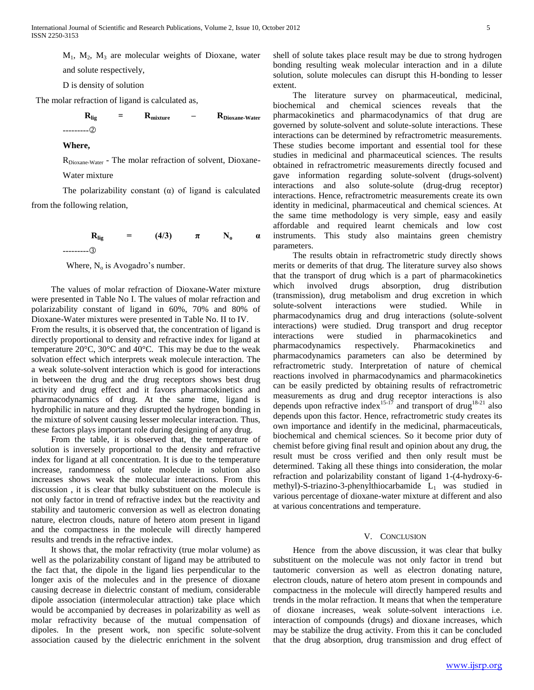$M_1$ ,  $M_2$ ,  $M_3$  are molecular weights of Dioxane, water

and solute respectively,

D is density of solution

The molar refraction of ligand is calculated as,

$$
\mathbf{R}_{lig} = \mathbf{R}_{mixture} - \mathbf{R}_{Dioxane-Water}
$$

## **Where,**

 $R_{Dioxane-Water}$  - The molar refraction of solvent, Dioxane-Water mixture

The polarizability constant  $(\alpha)$  of ligand is calculated from the following relation,

> **R**<sub>lig</sub> = (4/3)  $\pi$  N<sub>o</sub>  $\alpha$ ---------

Where,  $N_0$  is Avogadro's number.

 The values of molar refraction of Dioxane-Water mixture were presented in Table No I. The values of molar refraction and polarizability constant of ligand in 60%, 70% and 80% of Dioxane-Water mixtures were presented in Table No. II to IV.

From the results, it is observed that, the concentration of ligand is directly proportional to density and refractive index for ligand at temperature 20°C, 30°C and 40°C. This may be due to the weak solvation effect which interprets weak molecule interaction. The a weak solute-solvent interaction which is good for interactions in between the drug and the drug receptors shows best drug activity and drug effect and it favors pharmacokinetics and pharmacodynamics of drug. At the same time, ligand is hydrophilic in nature and they disrupted the hydrogen bonding in the mixture of solvent causing lesser molecular interaction. Thus, these factors plays important role during designing of any drug.

 From the table, it is observed that, the temperature of solution is inversely proportional to the density and refractive index for ligand at all concentration. It is due to the temperature increase, randomness of solute molecule in solution also increases shows weak the molecular interactions. From this discussion , it is clear that bulky substituent on the molecule is not only factor in trend of refractive index but the reactivity and stability and tautomeric conversion as well as electron donating nature, electron clouds, nature of hetero atom present in ligand and the compactness in the molecule will directly hampered results and trends in the refractive index.

 It shows that, the molar refractivity (true molar volume) as well as the polarizability constant of ligand may be attributed to the fact that, the dipole in the ligand lies perpendicular to the longer axis of the molecules and in the presence of dioxane causing decrease in dielectric constant of medium, considerable dipole association (intermolecular attraction) take place which would be accompanied by decreases in polarizability as well as molar refractivity because of the mutual compensation of dipoles. In the present work, non specific solute-solvent association caused by the dielectric enrichment in the solvent shell of solute takes place result may be due to strong hydrogen bonding resulting weak molecular interaction and in a dilute solution, solute molecules can disrupt this H-bonding to lesser extent.

 The literature survey on pharmaceutical, medicinal, biochemical and chemical sciences reveals that the pharmacokinetics and pharmacodynamics of that drug are governed by solute-solvent and solute-solute interactions. These interactions can be determined by refractrometric measurements. These studies become important and essential tool for these studies in medicinal and pharmaceutical sciences. The results obtained in refractrometric measurements directly focused and gave information regarding solute-solvent (drugs-solvent) interactions and also solute-solute (drug-drug receptor) interactions. Hence, refractrometric measurements create its own identity in medicinal, pharmaceutical and chemical sciences. At the same time methodology is very simple, easy and easily affordable and required learnt chemicals and low cost instruments. This study also maintains green chemistry parameters.

 The results obtain in refractrometric study directly shows merits or demerits of that drug. The literature survey also shows that the transport of drug which is a part of pharmacokinetics which involved drugs absorption, drug distribution (transmission), drug metabolism and drug excretion in which solute-solvent interactions were studied. While in pharmacodynamics drug and drug interactions (solute-solvent interactions) were studied. Drug transport and drug receptor interactions were studied in pharmacokinetics and pharmacodynamics respectively. Pharmacokinetics and pharmacodynamics parameters can also be determined by refractrometric study. Interpretation of nature of chemical reactions involved in pharmacodynamics and pharmacokinetics can be easily predicted by obtaining results of refractrometric measurements as drug and drug receptor interactions is also depends upon refractive index<sup>15-17</sup> and transport of drug<sup>18-21</sup> also depends upon this factor. Hence, refractrometric study creates its own importance and identify in the medicinal, pharmaceuticals, biochemical and chemical sciences. So it become prior duty of chemist before giving final result and opinion about any drug, the result must be cross verified and then only result must be determined. Taking all these things into consideration, the molar refraction and polarizability constant of ligand 1-(4-hydroxy-6 methyl)-S-triazino-3-phenylthiocarbamide  $L_1$  was studied in various percentage of dioxane-water mixture at different and also at various concentrations and temperature.

#### V. CONCLUSION

 Hence from the above discussion, it was clear that bulky substituent on the molecule was not only factor in trend but tautomeric conversion as well as electron donating nature, electron clouds, nature of hetero atom present in compounds and compactness in the molecule will directly hampered results and trends in the molar refraction. It means that when the temperature of dioxane increases, weak solute-solvent interactions i.e. interaction of compounds (drugs) and dioxane increases, which may be stabilize the drug activity. From this it can be concluded that the drug absorption, drug transmission and drug effect of